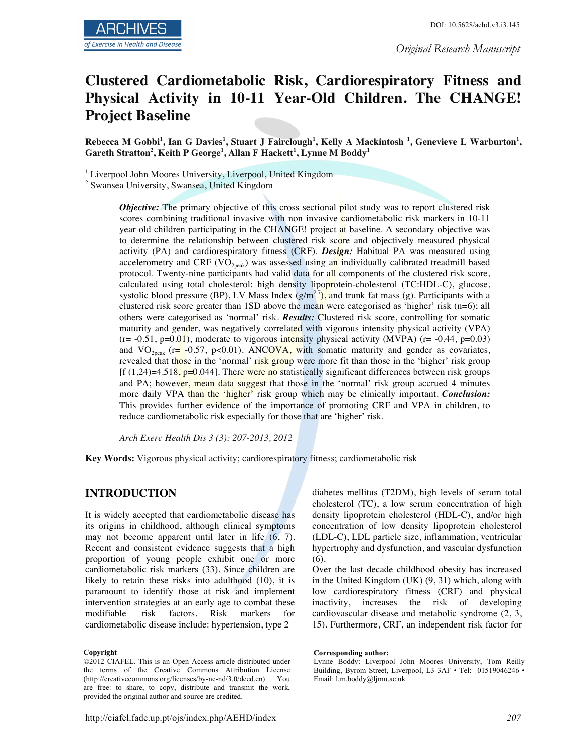*Original Research Manuscript*

# **Clustered Cardiometabolic Risk, Cardiorespiratory Fitness and Physical Activity in 10-11 Year-Old Children. The CHANGE! Project Baseline**

**Rebecca M Gobbi<sup>1</sup> , Ian G Davies<sup>1</sup> , Stuart J Fairclough<sup>1</sup> , Kelly A Mackintosh <sup>1</sup> , Genevieve L Warburton<sup>1</sup> , Gareth Stratton<sup>2</sup> , Keith P George<sup>1</sup> , Allan F Hackett<sup>1</sup> , Lynne M Boddy<sup>1</sup>**

<sup>1</sup> Liverpool John Moores University, Liverpool, United Kingdom

<sup>2</sup> Swansea University, Swansea, United Kingdom

*Objective:* The primary objective of this cross sectional pilot study was to report clustered risk scores combining traditional invasive with non invasive cardiometabolic risk markers in 10-11 year old children participating in the CHANGE! project at baseline. A secondary objective was to determine the relationship between clustered risk score and objectively measured physical activity (PA) and cardiorespiratory fitness (CRF). *Design:* Habitual PA was measured using accelerometry and CRF (VO<sub>2peak</sub>) was assessed using an individually calibrated treadmill based protocol. Twenty-nine participants had valid data for all components of the clustered risk score, calculated using total cholesterol: high density lipoprotein-cholesterol (TC:HDL-C), glucose, systolic blood pressure (BP), LV Mass Index  $(g/m^2)$ , and trunk fat mass (g). Participants with a clustered risk score greater than 1SD above the mean were categorised as 'higher' risk (n=6); all others were categorised as 'normal' risk. *Results:* Clustered risk score, controlling for somatic maturity and gender, was negatively correlated with vigorous intensity physical activity (VPA)  $(r= -0.51, p=0.01)$ , moderate to vigorous intensity physical activity (MVPA)  $(r= -0.44, p=0.03)$ and  $VO<sub>2peak</sub>$  (r= -0.57, p<0.01). ANCOVA, with somatic maturity and gender as covariates, revealed that those in the 'normal' risk group were more fit than those in the 'higher' risk group  $[f(1,24)=4.518, p=0.044]$ . There were no statistically significant differences between risk groups and PA; however, mean data suggest that those in the 'normal' risk group accrued 4 minutes more daily VPA than the 'higher' risk group which may be clinically important. *Conclusion:* This provides further evidence of the importance of promoting CRF and VPA in children, to reduce cardiometabolic risk especially for those that are 'higher' risk.

*Arch Exerc Health Dis 3 (3): 207-2013, 2012*

**Key Words:** Vigorous physical activity; cardiorespiratory fitness; cardiometabolic risk

## **INTRODUCTION**

It is widely accepted that cardiometabolic disease has its origins in childhood, although clinical symptoms may not become apparent until later in life (6, 7). Recent and consistent evidence suggests that a high proportion of young people exhibit one or more cardiometabolic risk markers (33). Since children are likely to retain these risks into adulthood (10), it is paramount to identify those at risk and implement intervention strategies at an early age to combat these modifiable risk factors. Risk markers for cardiometabolic disease include: hypertension, type 2

diabetes mellitus (T2DM), high levels of serum total cholesterol (TC), a low serum concentration of high density lipoprotein cholesterol (HDL-C), and/or high concentration of low density lipoprotein cholesterol (LDL-C), LDL particle size, inflammation, ventricular hypertrophy and dysfunction, and vascular dysfunction (6).

Over the last decade childhood obesity has increased in the United Kingdom (UK) (9, 31) which, along with low cardiorespiratory fitness (CRF) and physical inactivity, increases the risk of developing cardiovascular disease and metabolic syndrome (2, 3, 15). Furthermore, CRF, an independent risk factor for

**Copyright**

<sup>©2012</sup> CIAFEL. This is an Open Access article distributed under the terms of the Creative Commons Attribution License (http://creativecommons.org/licenses/by-nc-nd/3.0/deed.en). You are free: to share, to copy, distribute and transmit the work, provided the original author and source are credited.

**Corresponding author:**

Lynne Boddy: Liverpool John Moores University, Tom Reilly Building, Byrom Street, Liverpool, L3 3AF · Tel: 01519046246 · Email: l.m.boddy@ljmu.ac.uk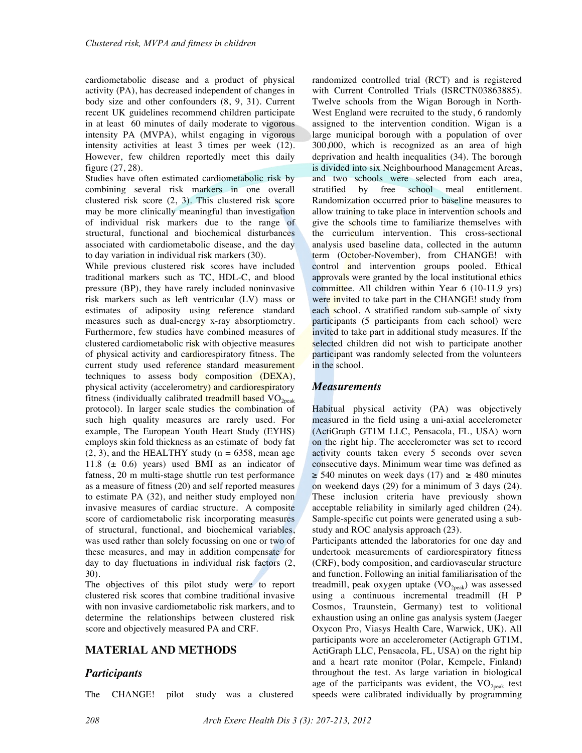cardiometabolic disease and a product of physical activity (PA), has decreased independent of changes in body size and other confounders (8, 9, 31). Current recent UK guidelines recommend children participate in at least 60 minutes of daily moderate to vigorous intensity PA (MVPA), whilst engaging in vigorous intensity activities at least 3 times per week (12). However, few children reportedly meet this daily figure (27, 28).

Studies have often estimated cardiometabolic risk by combining several risk markers in one overall clustered risk score (2, 3). This clustered risk score may be more clinically meaningful than investigation of individual risk markers due to the range of structural, functional and biochemical disturbances associated with cardiometabolic disease, and the day to day variation in individual risk markers (30).

While previous clustered risk scores have included traditional markers such as TC, HDL-C, and blood pressure (BP), they have rarely included noninvasive risk markers such as left ventricular (LV) mass or estimates of adiposity using reference standard measures such as dual-energy x-ray absorptiometry. Furthermore, few studies have combined measures of clustered cardiometabolic risk with objective measures of physical activity and cardiorespiratory fitness. The current study used reference standard measurement techniques to assess body composition (DEXA), physical activity (accelerometry) and cardiorespiratory fitness (individually calibrated treadmill based  $VO<sub>2peak</sub>$ protocol). In larger scale studies the combination of such high quality measures are rarely used. For example, The European Youth Heart Study (EYHS) employs skin fold thickness as an estimate of body fat  $(2, 3)$ , and the HEALTHY study ( $n = 6358$ , mean age 11.8  $(\pm 0.6)$  years) used BMI as an indicator of fatness, 20 m multi-stage shuttle run test performance as a measure of fitness (20) and self reported measures to estimate PA (32), and neither study employed non invasive measures of cardiac structure. A composite score of cardiometabolic risk incorporating measures of structural, functional, and biochemical variables, was used rather than solely focussing on one or two of these measures, and may in addition compensate for day to day fluctuations in individual risk factors (2, 30).

The objectives of this pilot study were to report clustered risk scores that combine traditional invasive with non invasive cardiometabolic risk markers, and to determine the relationships between clustered risk score and objectively measured PA and CRF.

## **MATERIAL AND METHODS**

#### *Participants*

The CHANGE! pilot study was a clustered

randomized controlled trial (RCT) and is registered with Current Controlled Trials (ISRCTN03863885). Twelve schools from the Wigan Borough in North-West England were recruited to the study, 6 randomly assigned to the intervention condition. Wigan is a large municipal borough with a population of over 300,000, which is recognized as an area of high deprivation and health inequalities (34). The borough is divided into six Neighbourhood Management Areas, and two schools were selected from each area, stratified by free school meal entitlement. Randomization occurred prior to baseline measures to allow training to take place in intervention schools and give the schools time to familiarize themselves with the curriculum intervention. This cross-sectional analysis used baseline data, collected in the autumn term (October-November), from CHANGE! with control and intervention groups pooled. Ethical approvals were granted by the local institutional ethics committee. All children within Year 6 (10-11.9 yrs) were invited to take part in the CHANGE! study from each school. A stratified random sub-sample of sixty participants (5 participants from each school) were invited to take part in additional study measures. If the selected children did not wish to participate another participant was randomly selected from the volunteers in the school.

#### *Measurements*

Habitual physical activity (PA) was objectively measured in the field using a uni-axial accelerometer (ActiGraph GT1M LLC, Pensacola, FL, USA) worn on the right hip. The accelerometer was set to record activity counts taken every 5 seconds over seven consecutive days. Minimum wear time was defined as  $\geq$  540 minutes on week days (17) and  $\geq$  480 minutes on weekend days (29) for a minimum of 3 days (24). These inclusion criteria have previously shown acceptable reliability in similarly aged children (24). Sample-specific cut points were generated using a substudy and ROC analysis approach (23).

Participants attended the laboratories for one day and undertook measurements of cardiorespiratory fitness (CRF), body composition, and cardiovascular structure and function. Following an initial familiarisation of the treadmill, peak oxygen uptake  $(VO_{2peak})$  was assessed using a continuous incremental treadmill (H P Cosmos, Traunstein, Germany) test to volitional exhaustion using an online gas analysis system (Jaeger Oxycon Pro, Viasys Health Care, Warwick, UK). All participants wore an accelerometer (Actigraph GT1M, ActiGraph LLC, Pensacola, FL, USA) on the right hip and a heart rate monitor (Polar, Kempele, Finland) throughout the test. As large variation in biological age of the participants was evident, the  $VO<sub>2peak</sub>$  test speeds were calibrated individually by programming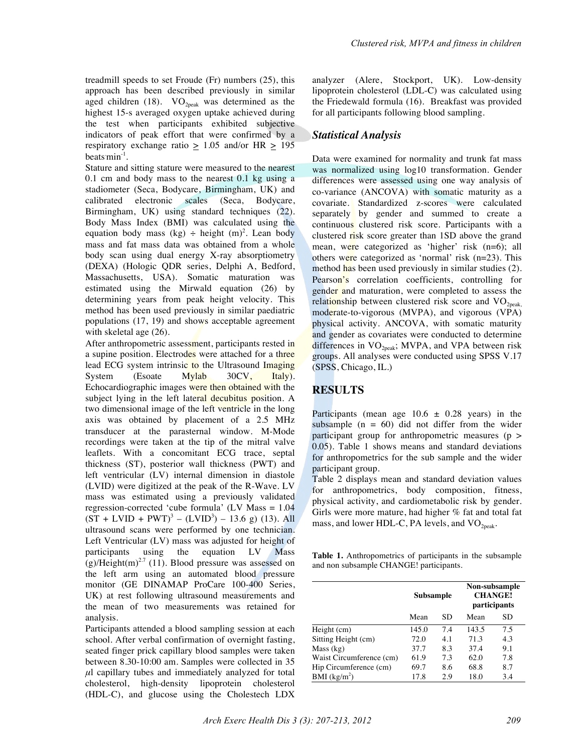treadmill speeds to set Froude (Fr) numbers (25), this approach has been described previously in similar aged children (18).  $VO_{2\text{peak}}$  was determined as the highest 15-s averaged oxygen uptake achieved during the test when participants exhibited subjective indicators of peak effort that were confirmed by a respiratory exchange ratio  $> 1.05$  and/or HR  $> 195$ beats  $\min^{-1}$ .

Stature and sitting stature were measured to the nearest 0.1 cm and body mass to the nearest 0.1 kg using a stadiometer (Seca, Bodycare, Birmingham, UK) and calibrated electronic scales (Seca, Bodycare, Birmingham, UK) using standard techniques (22). Body Mass Index (BMI) was calculated using the equation body mass (kg)  $\div$  height (m)<sup>2</sup>. Lean body mass and fat mass data was obtained from a whole body scan using dual energy X-ray absorptiometry (DEXA) (Hologic QDR series, Delphi A, Bedford, Massachusetts, USA). Somatic maturation was estimated using the Mirwald equation (26) by determining years from peak height velocity. This method has been used previously in similar paediatric populations (17, 19) and shows acceptable agreement with skeletal age (26).

After anthropometric assessment, participants rested in a supine position. Electrodes were attached for a three lead ECG system intrinsic to the Ultrasound Imaging System (Esoate Mylab 30CV, Italy). Echocardiographic images were then obtained with the subject lying in the left lateral decubitus position. A two dimensional image of the left ventricle in the long axis was obtained by placement of a 2.5 MHz transducer at the parasternal window. M-Mode recordings were taken at the tip of the mitral valve leaflets. With a concomitant ECG trace, septal thickness (ST), posterior wall thickness (PWT) and left ventricular (LV) internal dimension in diastole (LVID) were digitized at the peak of the R-Wave. LV mass was estimated using a previously validated regression-corrected 'cube formula' (LV Mass  $= 1.04$ )  $(ST + LVID + PWT<sup>3</sup> - (LVID<sup>3</sup>) - 13.6 g) (13). All$ ultrasound scans were performed by one technician. Left Ventricular (LV) mass was adjusted for height of participants using the equation LV Mass (g)/Height(m)<sup>2.7</sup> (11). Blood pressure was assessed on the left arm using an automated blood pressure monitor (GE DINAMAP ProCare 100-400 Series, UK) at rest following ultrasound measurements and the mean of two measurements was retained for analysis.

Participants attended a blood sampling session at each school. After verbal confirmation of overnight fasting, seated finger prick capillary blood samples were taken between 8.30-10:00 am. Samples were collected in 35 *μ*l capillary tubes and immediately analyzed for total cholesterol, high-density lipoprotein cholesterol (HDL-C), and glucose using the Cholestech LDX

analyzer (Alere, Stockport, UK). Low-density lipoprotein cholesterol (LDL-C) was calculated using the Friedewald formula (16). Breakfast was provided for all participants following blood sampling.

#### *Statistical Analysis*

Data were examined for normality and trunk fat mass was normalized using log10 transformation. Gender differences were assessed using one way analysis of co-variance (ANCOVA) with somatic maturity as a covariate. Standardized z-scores were calculated separately by gender and summed to create a continuous clustered risk score. Participants with a clustered  $\frac{r}{r}$  risk score greater than 1SD above the grand mean, were categorized as 'higher' risk (n=6); all others were categorized as 'normal' risk  $(n=23)$ . This method has been used previously in similar studies (2). Pearson's correlation coefficients, controlling for gender and maturation, were completed to assess the relationship between clustered risk score and  $VO<sub>2peak</sub>$ moderate-to-vigorous (MVPA), and vigorous (VPA) physical activity. ANCOVA, with somatic maturity and gender as covariates were conducted to determine differences in  $VO<sub>2peak</sub>$ ; MVPA, and VPA between risk groups. All analyses were conducted using SPSS V.17 (SPSS, Chicago, IL.)

# **RESULTS**

Participants (mean age  $10.6 \pm 0.28$  years) in the subsample  $(n = 60)$  did not differ from the wider participant group for anthropometric measures (p > 0.05). Table 1 shows means and standard deviations for anthropometrics for the sub sample and the wider participant group.

Table 2 displays mean and standard deviation values for anthropometrics, body composition, fitness, physical activity, and cardiometabolic risk by gender. Girls were more mature, had higher % fat and total fat mass, and lower HDL-C, PA levels, and  $VO<sub>2peak</sub>$ .

**Table 1.** Anthropometrics of participants in the subsample and non subsample CHANGE! participants.

|                          | Subsample |     | Non-subsample<br><b>CHANGE!</b><br>participants |     |  |
|--------------------------|-----------|-----|-------------------------------------------------|-----|--|
|                          | Mean      | SD  | Mean                                            | SD  |  |
| Height (cm)              | 145.0     | 7.4 | 143.5                                           | 7.5 |  |
| Sitting Height (cm)      | 72.0      | 4.1 | 71.3                                            | 4.3 |  |
| Mass (kg)                | 37.7      | 8.3 | 37.4                                            | 9.1 |  |
| Waist Circumference (cm) | 61.9      | 7.3 | 62.0                                            | 7.8 |  |
| Hip Circumference (cm)   | 69.7      | 8.6 | 68.8                                            | 8.7 |  |
| BMI $(kg/m2)$            | 17.8      | 2.9 | 18.0                                            | 3.4 |  |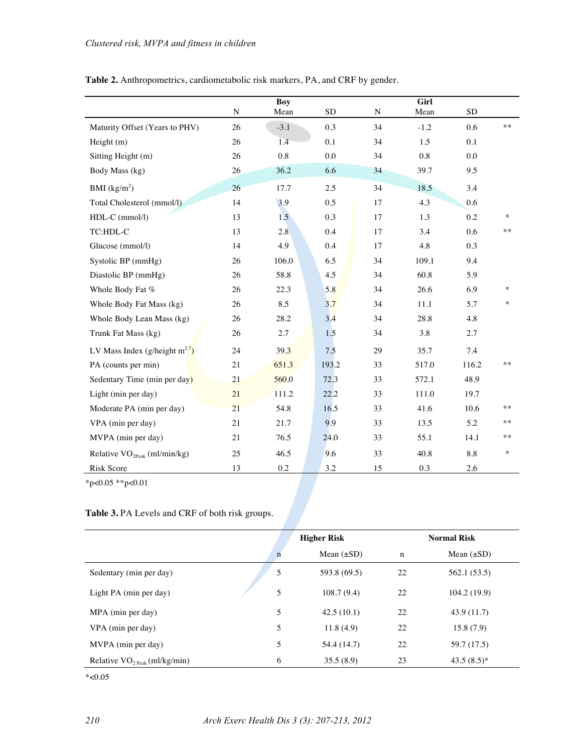|                                     |             | <b>Boy</b> |           |    | Girl      |           |        |
|-------------------------------------|-------------|------------|-----------|----|-----------|-----------|--------|
|                                     | $\mathbf N$ | Mean       | <b>SD</b> | N  | Mean      | <b>SD</b> |        |
| Maturity Offset (Years to PHV)      | 26          | $-3.1$     | 0.3       | 34 | $-1.2$    | 0.6       | $***$  |
| Height (m)                          | 26          | 1.4        | 0.1       | 34 | 1.5       | 0.1       |        |
| Sitting Height (m)                  | 26          | 0.8        | 0.0       | 34 | 0.8       | 0.0       |        |
| Body Mass (kg)                      | 26          | 36.2       | 6.6       | 34 | 39.7      | 9.5       |        |
| BMI $(kg/m2)$                       | 26          | 17.7       | 2.5       | 34 | 18.5      | 3.4       |        |
| Total Cholesterol (mmol/l)          | 14          | 3.9        | 0.5       | 17 | 4.3       | 0.6       |        |
| HDL-C (mmol/l)                      | 13          | 1.5        | 0.3       | 17 | 1.3       | 0.2       | $\ast$ |
| TC:HDL-C                            | 13          | 2.8        | 0.4       | 17 | 3.4       | 0.6       | $***$  |
| Glucose (mmol/l)                    | 14          | 4.9        | 0.4       | 17 | 4.8       | 0.3       |        |
| Systolic BP (mmHg)                  | 26          | 106.0      | 6.5       | 34 | 109.1     | 9.4       |        |
| Diastolic BP (mmHg)                 | 26          | 58.8       | 4.5       | 34 | 60.8      | 5.9       |        |
| Whole Body Fat %                    | 26          | 22.3       | 5.8       | 34 | 26.6      | 6.9       | $\ast$ |
| Whole Body Fat Mass (kg)            | 26          | 8.5        | 3.7       | 34 | 11.1      | 5.7       | $\ast$ |
| Whole Body Lean Mass (kg)           | 26          | 28.2       | 3.4       | 34 | 28.8      | 4.8       |        |
| Trunk Fat Mass (kg)                 | 26          | 2.7        | 1.5       | 34 | 3.8       | 2.7       |        |
| LV Mass Index (g/height $m^{2.7}$ ) | 24          | 39.3       | 7.5       | 29 | 35.7      | 7.4       |        |
| PA (counts per min)                 | 21          | 651.3      | 193.2     | 33 | 517.0     | 116.2     | $**$   |
| Sedentary Time (min per day)        | 21          | 560.0      | 72.3      | 33 | 572.1     | 48.9      |        |
| Light (min per day)                 | 21          | 111.2      | 22.2      | 33 | $111.0\,$ | 19.7      |        |
| Moderate PA (min per day)           | 21          | 54.8       | 16.5      | 33 | 41.6      | 10.6      | $***$  |
| VPA (min per day)                   | 21          | 21.7       | 9.9       | 33 | 13.5      | 5.2       | **     |
| MVPA (min per day)                  | 21          | 76.5       | 24.0      | 33 | 55.1      | 14.1      | **     |
| Relative $VO2Peak$ (ml/min/kg)      | 25          | 46.5       | 9.6       | 33 | 40.8      | $8.8\,$   | $\ast$ |
| Risk Score                          | 13          | $0.2\,$    | 3.2       | 15 | 0.3       | 2.6       |        |

**Table 2.** Anthropometrics, cardiometabolic risk markers, PA, and CRF by gender.

\*p<0.05 \*\*p<0.01

**Table 3.** PA Levels and CRF of both risk groups.

|                                            | <b>Higher Risk</b> |                 | <b>Normal Risk</b> |                 |  |
|--------------------------------------------|--------------------|-----------------|--------------------|-----------------|--|
|                                            | $\mathbf n$        | Mean $(\pm SD)$ | $\mathbf n$        | Mean $(\pm SD)$ |  |
| Sedentary (min per day)                    | 5                  | 593.8 (69.5)    | 22                 | 562.1 (53.5)    |  |
| Light PA (min per day)                     | 5                  | 108.7(9.4)      | 22                 | 104.2(19.9)     |  |
| MPA (min per day)                          | 5                  | 42.5(10.1)      | 22                 | 43.9(11.7)      |  |
| VPA (min per day)                          | 5                  | 11.8(4.9)       | 22                 | 15.8(7.9)       |  |
| MVPA (min per day)                         | 5                  | 54.4 (14.7)     | 22                 | 59.7 (17.5)     |  |
| Relative $VO2$ <sub>Peak</sub> (ml/kg/min) | 6                  | 35.5(8.9)       | 23                 | $43.5(8.5)^*$   |  |

 $*<0.05$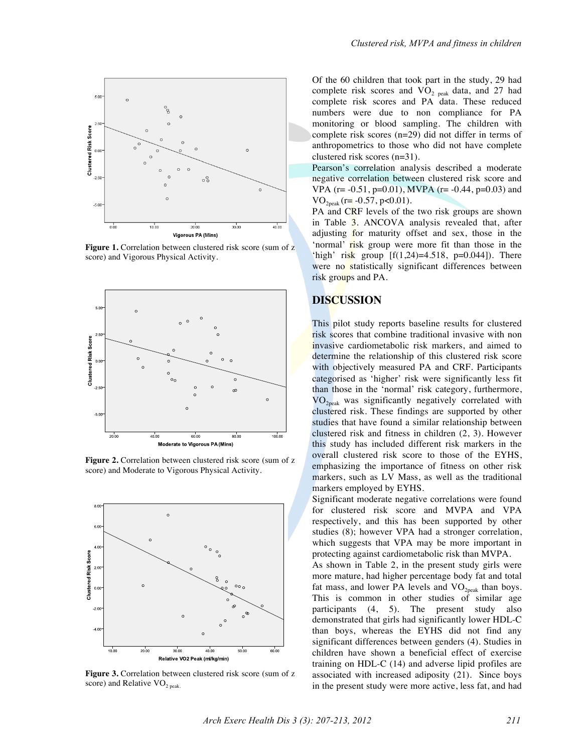

**Figure 1.** Correlation between clustered risk score (sum of z score) and Vigorous Physical Activity.



**Figure 2.** Correlation between clustered risk score (sum of z score) and Moderate to Vigorous Physical Activity.



Figure 3. Correlation between clustered risk score (sum of z score) and Relative  $VO<sub>2 peak</sub>$ </sub>.

Of the 60 children that took part in the study, 29 had complete risk scores and  $VO<sub>2</sub>$  <sub>peak</sub> data, and 27 had complete risk scores and PA data. These reduced numbers were due to non compliance for PA monitoring or blood sampling. The children with complete risk scores (n=29) did not differ in terms of anthropometrics to those who did not have complete clustered risk scores (n=31).

Pearson's correlation analysis described a moderate negative correlation between clustered risk score and VPA (r=  $-0.51$ , p=0.01), MVPA (r=  $-0.44$ , p=0.03) and  $VO<sub>2peak</sub>$  (r= -0.57, p<0.01).

PA and CRF levels of the two risk groups are shown in Table 3. ANCOVA analysis revealed that, after adjusting for maturity offset and sex, those in the 'normal' risk group were more fit than those in the 'high' risk group  $[f(1,24)=4.518, p=0.044]$ . There were no statistically significant differences between risk groups and PA.

#### **DISCUSSION**

This pilot study reports baseline results for clustered risk scores that combine traditional invasive with non invasive cardiometabolic risk markers, and aimed to determine the relationship of this clustered risk score with objectively measured PA and CRF. Participants categorised as 'higher' risk were significantly less fit than those in the 'normal' risk category, furthermore,  $VO<sub>2peak</sub>$  was significantly negatively correlated with clustered risk. These findings are supported by other studies that have found a similar relationship between clustered risk and fitness in children (2, 3). However this study has included different risk markers in the overall clustered risk score to those of the EYHS, emphasizing the importance of fitness on other risk markers, such as LV Mass, as well as the traditional markers employed by EYHS.

Significant moderate negative correlations were found for clustered risk score and MVPA and VPA respectively, and this has been supported by other studies (8); however VPA had a stronger correlation, which suggests that VPA may be more important in protecting against cardiometabolic risk than MVPA.

As shown in Table 2, in the present study girls were more mature, had higher percentage body fat and total fat mass, and lower PA levels and  $VO<sub>2peak</sub>$  than boys. This is common in other studies of similar age participants (4, 5). The present study also demonstrated that girls had significantly lower HDL-C than boys, whereas the EYHS did not find any significant differences between genders (4). Studies in children have shown a beneficial effect of exercise training on HDL-C (14) and adverse lipid profiles are associated with increased adiposity (21). Since boys in the present study were more active, less fat, and had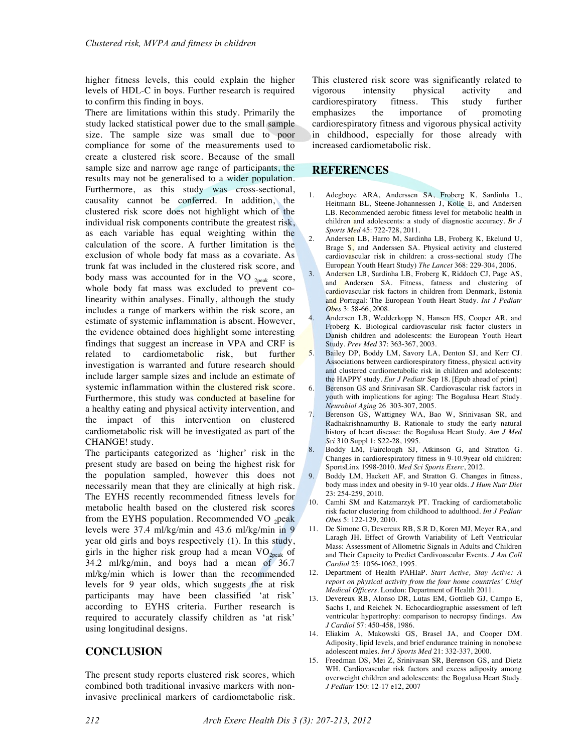higher fitness levels, this could explain the higher levels of HDL-C in boys. Further research is required to confirm this finding in boys.

There are limitations within this study. Primarily the study lacked statistical power due to the small sample size. The sample size was small due to poor compliance for some of the measurements used to create a clustered risk score. Because of the small sample size and narrow age range of participants, the results may not be generalised to a wider population. Furthermore, as this study was cross-sectional, causality cannot be conferred. In addition, the clustered risk score does not highlight which of the individual risk components contribute the greatest risk, as each variable has equal weighting within the calculation of the score. A further limitation is the exclusion of whole body fat mass as a covariate. As trunk fat was included in the clustered risk score, and body mass was accounted for in the VO  $_{2\text{peak}}$  score, whole body fat mass was excluded to prevent colinearity within analyses. Finally, although the study includes a range of markers within the risk score, an estimate of systemic inflammation is absent. However, the evidence obtained does highlight some interesting findings that suggest an increase in VPA and CRF is related to cardiometabolic risk, but further investigation is warranted and future research should include larger sample sizes and include an estimate of systemic inflammation within the clustered risk score. Furthermore, this study was conducted at baseline for a healthy eating and physical activity intervention, and the impact of this intervention on clustered cardiometabolic risk will be investigated as part of the CHANGE! study.

The participants categorized as 'higher' risk in the present study are based on being the highest risk for the population sampled, however this does not necessarily mean that they are clinically at high risk. The EYHS recently recommended fitness levels for metabolic health based on the clustered risk scores from the EYHS population. Recommended VO  $_2$ peak levels were 37.4 ml/kg/min and 43.6 ml/kg/min in 9 year old girls and boys respectively (1). In this study, girls in the higher risk group had a mean  $VO_{2\text{peak}}$  of 34.2 ml/kg/min, and boys had a mean of 36.7 ml/kg/min which is lower than the recommended levels for 9 year olds, which suggests the at risk participants may have been classified 'at risk' according to EYHS criteria. Further research is required to accurately classify children as 'at risk' using longitudinal designs.

# **CONCLUSION**

The present study reports clustered risk scores, which combined both traditional invasive markers with noninvasive preclinical markers of cardiometabolic risk. This clustered risk score was significantly related to vigorous intensity physical activity and cardiorespiratory fitness. This study further emphasizes the importance of promoting cardiorespiratory fitness and vigorous physical activity in childhood, especially for those already with increased cardiometabolic risk.

#### **REFERENCES**

- 1. Adegboye ARA, Anderssen SA, Froberg K, Sardinha L, Heitmann BL, Steene-Johannessen J, Kolle E, and Andersen LB. Recommended aerobic fitness level for metabolic health in children and adolescents: a study of diagnostic accuracy. *Br J Sports Med* 45: 722-728, 2011.
- 2. Andersen LB, Harro M, Sardinha LB, Froberg K, Ekelund U, Brage S, and Anderssen SA. Physical activity and clustered cardiovascular risk in children: a cross-sectional study (The European Youth Heart Study) *The Lancet* 368: 229-304, 2006.
- 3. Andersen LB, Sardinha LB, Froberg K, Riddoch CJ, Page AS, and Andersen SA. Fitness, fatness and clustering of cardiovascular risk factors in children from Denmark, Estonia and Portugal: The European Youth Heart Study. *Int J Pediatr Obes* 3: 58-66, 2008.
- 4. Andersen LB, Wedderkopp N, Hansen HS, Cooper AR, and Froberg K. Biological cardiovascular risk factor clusters in Danish children and adolescents: the European Youth Heart Study. *Prev Med* 37: 363-367, 2003.
- 5. Bailey DP, Boddy LM, Savory LA, Denton SJ, and Kerr CJ. Associations between cardiorespiratory fitness, physical activity and clustered cardiometabolic risk in children and adolescents: the HAPPY study. *Eur J Pediatr* Sep 18. [Epub ahead of print]
- 6. Berenson GS and Srinivasan SR. Cardiovascular risk factors in youth with implications for aging: The Bogalusa Heart Study. *Neurobiol Aging* 26 303-307, 2005.
- 7. Berenson GS, Wattigney WA, Bao W, Srinivasan SR, and Radhakrishnamurthy B. Rationale to study the early natural history of heart disease: the Bogalusa Heart Study. *Am J Med Sci* 310 Suppl 1: S22-28, 1995.
- 8. Boddy LM, Fairclough SJ, Atkinson G, and Stratton G. Changes in cardiorespiratory fitness in 9-10.9year old children: SportsLinx 1998-2010. *Med Sci Sports Exerc*, 2012.
- 9. Boddy LM, Hackett AF, and Stratton G. Changes in fitness, body mass index and obesity in 9-10 year olds. *J Hum Nutr Diet* 23: 254-259, 2010.
- 10. Camhi SM and Katzmarzyk PT. Tracking of cardiometabolic risk factor clustering from childhood to adulthood. *Int J Pediatr Obes* 5: 122-129, 2010.
- 11. De Simone G, Devereux RB, S.R D, Koren MJ, Meyer RA, and Laragh JH. Effect of Growth Variability of Left Ventricular Mass: Assessment of Allometric Signals in Adults and Children and Their Capacity to Predict Cardivoascular Events. *J Am Coll Cardiol* 25: 1056-1062, 1995.
- 12. Department of Health PAHIaP. *Start Active, Stay Active: A report on physical activity from the four home countries' Chief Medical Officers*. London: Department of Health 2011.
- 13. Devereux RB, Alonso DR, Lutas EM, Gottlieb GJ, Campo E, Sachs I, and Reichek N. Echocardiographic assessment of left ventricular hypertrophy: comparison to necropsy findings. *Am J Cardiol* 57: 450-458, 1986.
- 14. Eliakim A, Makowski GS, Brasel JA, and Cooper DM. Adiposity, lipid levels, and brief endurance training in nonobese adolescent males. *Int J Sports Med* 21: 332-337, 2000.
- 15. Freedman DS, Mei Z, Srinivasan SR, Berenson GS, and Dietz WH. Cardiovascular risk factors and excess adiposity among overweight children and adolescents: the Bogalusa Heart Study. *J Pediatr* 150: 12-17 e12, 2007